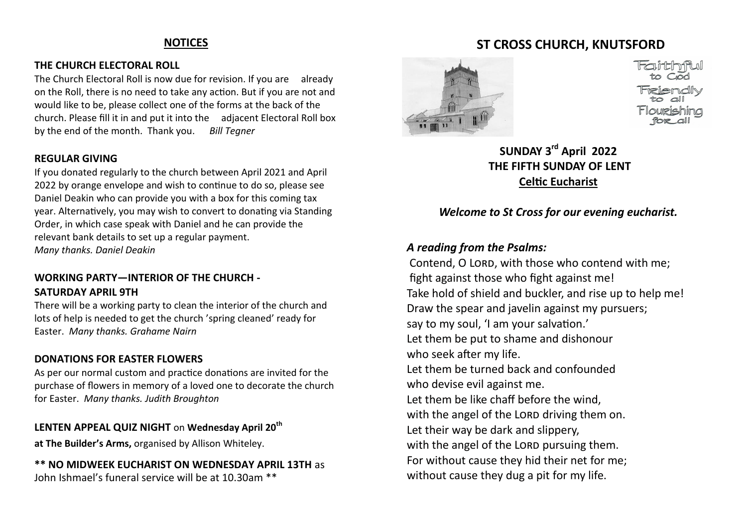### **NOTICES**

#### **THE CHURCH ELECTORAL ROLL**

The Church Electoral Roll is now due for revision. If you are already on the Roll, there is no need to take any action. But if you are not and would like to be, please collect one of the forms at the back of the church. Please fill it in and put it into the adjacent Electoral Roll box by the end of the month. Thank you. *Bill Tegner* 

### **REGULAR GIVING**

If you donated regularly to the church between April 2021 and April 2022 by orange envelope and wish to continue to do so, please see Daniel Deakin who can provide you with a box for this coming tax year. Alternatively, you may wish to convert to donating via Standing Order, in which case speak with Daniel and he can provide the relevant bank details to set up a regular payment. *Many thanks. Daniel Deakin*

### **WORKING PARTY—INTERIOR OF THE CHURCH - SATURDAY APRIL 9TH**

There will be a working party to clean the interior of the church and lots of help is needed to get the church 'spring cleaned' ready for Easter. *Many thanks. Grahame Nairn*

### **DONATIONS FOR EASTER FLOWERS**

As per our normal custom and practice donations are invited for the purchase of flowers in memory of a loved one to decorate the church for Easter. *Many thanks. Judith Broughton*

### **LENTEN APPEAL QUIZ NIGHT** on **Wednesday April 20th**

**at The Builder's Arms,** organised by Allison Whiteley.

**\*\* NO MIDWEEK EUCHARIST ON WEDNESDAY APRIL 13TH** as John Ishmael's funeral service will be at 10.30am \*\*

# **ST CROSS CHURCH, KNUTSFORD**



# **SUNDAY 3rd April 2022 THE FIFTH SUNDAY OF LENT Celtic Eucharist**

## *Welcome to St Cross for our evening eucharist.*

### *A reading from the Psalms:*

Contend, O LORD, with those who contend with me; fight against those who fight against me! Take hold of shield and buckler, and rise up to help me! Draw the spear and javelin against my pursuers; say to my soul, 'I am your salvation.' Let them be put to shame and dishonour who seek after my life. Let them be turned back and confounded who devise evil against me. Let them be like chaff before the wind, with the angel of the LORD driving them on. Let their way be dark and slippery, with the angel of the LORD pursuing them. For without cause they hid their net for me; without cause they dug a pit for my life.